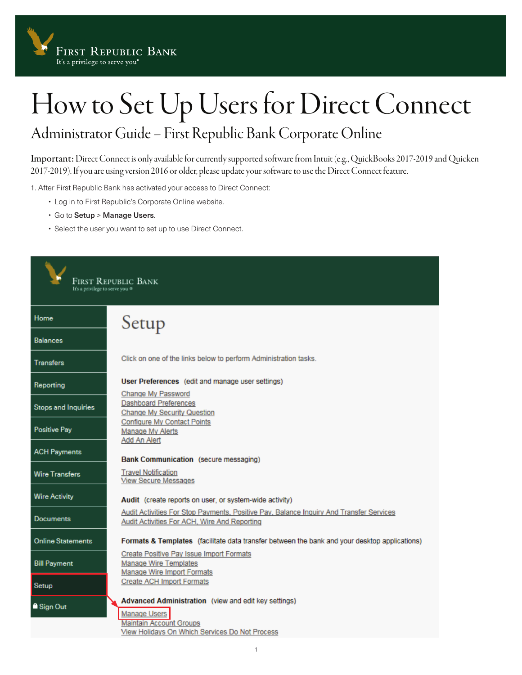

## How to Set Up Users for Direct Connect

## Administrator Guide – First Republic Bank Corporate Online

Important: Direct Connect is only available for currently supported software from Intuit (e.g., QuickBooks 2017-2019 and Quicken 2017-2019). If you are using version 2016 or older, please update your software to use the Direct Connect feature.

1. After First Republic Bank has activated your access to Direct Connect:

- Log in to First Republic's Corporate Online website.
- Go to Setup > Manage Users.
- Select the user you want to set up to use Direct Connect.

| FIRST REPUBLIC BANK<br>It's a privilege to serve you @ |                                                                                                                                                                 |  |  |  |
|--------------------------------------------------------|-----------------------------------------------------------------------------------------------------------------------------------------------------------------|--|--|--|
| Home                                                   | Setup                                                                                                                                                           |  |  |  |
| <b>Balances</b>                                        |                                                                                                                                                                 |  |  |  |
| <b>Transfers</b>                                       | Click on one of the links below to perform Administration tasks.                                                                                                |  |  |  |
| Reporting                                              | User Preferences (edit and manage user settings)<br>Change My Password                                                                                          |  |  |  |
| <b>Stops and Inquiries</b>                             | <b>Dashboard Preferences</b><br><b>Change My Security Question</b>                                                                                              |  |  |  |
| <b>Positive Pay</b>                                    | <b>Configure My Contact Points</b><br><b>Manage My Alerts</b>                                                                                                   |  |  |  |
| <b>ACH Payments</b>                                    | Add An Alert<br>Bank Communication (secure messaging)                                                                                                           |  |  |  |
| <b>Wire Transfers</b>                                  | <b>Travel Notification</b><br><b>View Secure Messages</b>                                                                                                       |  |  |  |
| <b>Wire Activity</b>                                   | Audit (create reports on user, or system-wide activity)                                                                                                         |  |  |  |
| <b>Documents</b>                                       | Audit Activities For Stop Payments, Positive Pay, Balance Inquiry And Transfer Services<br>Audit Activities For ACH, Wire And Reporting                         |  |  |  |
| <b>Online Statements</b>                               | Formats & Templates (facilitate data transfer between the bank and your desktop applications)                                                                   |  |  |  |
| <b>Bill Payment</b>                                    | Create Positive Pay Issue Import Formats<br><b>Manage Wire Templates</b><br>Manage Wire Import Formats                                                          |  |  |  |
| Setup                                                  | <b>Create ACH Import Formats</b>                                                                                                                                |  |  |  |
| Sign Out                                               | Advanced Administration (view and edit key settings)<br><b>Manage Users</b><br><b>Maintain Account Groups</b><br>View Holidays On Which Services Do Not Process |  |  |  |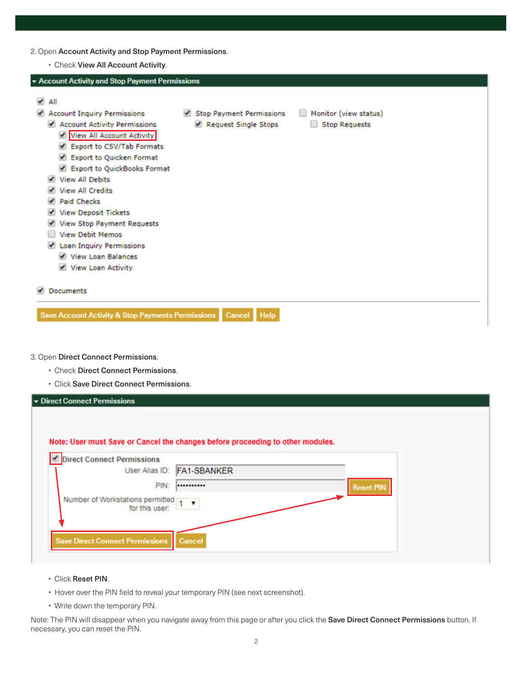- 2. Open Account Activity and Stop Payment Permissions.
	- Check View All Account Activity.

| * Account Activity and Stop Payment Permissions                                                                                                                                                                                                                                                                                                                                                                                                     |                                                  |                                               |  |
|-----------------------------------------------------------------------------------------------------------------------------------------------------------------------------------------------------------------------------------------------------------------------------------------------------------------------------------------------------------------------------------------------------------------------------------------------------|--------------------------------------------------|-----------------------------------------------|--|
|                                                                                                                                                                                                                                                                                                                                                                                                                                                     |                                                  |                                               |  |
| All<br>✔<br><b>Account Inquiry Permissions</b><br>Account Activity Permissions<br>View All Account Activity<br>Export to CSV/Tab Formats<br>Export to Quicken Format<br>Export to QuickBooks Format<br><b>View All Debits</b><br>$\overline{ }$<br><b>View All Credits</b><br><b>Paid Checks</b><br><b>View Deposit Tickets</b><br><b>View Stop Payment Requests</b><br><b>View Debit Memos</b><br>Loan Inquiry Permissions<br>V View Loan Balances | Stop Payment Permissions<br>Request Single Stops | Monitor (view status)<br><b>Stop Requests</b> |  |
| View Loan Activity                                                                                                                                                                                                                                                                                                                                                                                                                                  |                                                  |                                               |  |
| <b>Documents</b>                                                                                                                                                                                                                                                                                                                                                                                                                                    |                                                  |                                               |  |
| <b>Save Account Activity &amp; Stop Payments Permissions</b>                                                                                                                                                                                                                                                                                                                                                                                        | Cancel<br><b>Help</b>                            |                                               |  |
|                                                                                                                                                                                                                                                                                                                                                                                                                                                     |                                                  |                                               |  |

- 3. Open Direct Connect Permissions.
	- Check Direct Connect Permissions.
	- Click Save Direct Connect Permissions.

| <b>v</b> Direct Connect Permissions                                                                          |                            |                  |  |
|--------------------------------------------------------------------------------------------------------------|----------------------------|------------------|--|
| Note: User must Save or Cancel the changes before proceeding to other modules.<br>Direct Connect Permissions |                            |                  |  |
|                                                                                                              | User Alias ID: FA1-SBANKER |                  |  |
| PIN:                                                                                                         |                            | <b>Reset PIN</b> |  |
| Number of Workstations permitted<br>for this user:                                                           | $\mathbf{v}$               |                  |  |
|                                                                                                              |                            |                  |  |
| <b>Save Direct Connect Permissions</b>                                                                       | <b>Cancel</b>              |                  |  |

- Click Reset PIN.
- Hover over the PIN field to reveal your temporary PIN (see next screenshot).
- Write down the temporary PIN.

Note: The PIN will disappear when you navigate away from this page or after you click the Save Direct Connect Permissions button. If necessary, you can reset the PIN.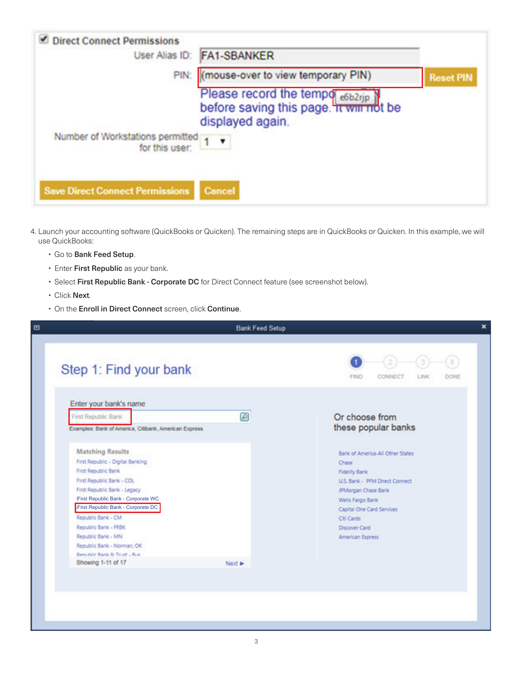| <b>Direct Connect Permissions</b>                  | User Alias ID: FA1-SBANKER                                                                                |                  |
|----------------------------------------------------|-----------------------------------------------------------------------------------------------------------|------------------|
|                                                    | PIN: (mouse-over to view temporary PIN)                                                                   | <b>Reset PIN</b> |
|                                                    | Please record the tempo <sub>e6b2rjp</sub><br>before saving this page. It will not be<br>displayed again. |                  |
| Number of Workstations permitted<br>for this user: |                                                                                                           |                  |
| <b>Save Direct Connect Permissions</b>             | Cancel                                                                                                    |                  |

- 4. Launch your accounting software (QuickBooks or Quicken). The remaining steps are in QuickBooks or Quicken. In this example, we will use QuickBooks:
	- Go to Bank Feed Setup.
	- Enter First Republic as your bank.
	- Select First Republic Bank Corporate DC for Direct Connect feature (see screenshot below).
	- Click Next.
	- On the Enroll in Direct Connect screen, click Continue.

|                                                                                                                                                                                                                                                                                                                                                               | <b>Bank Feed Setup</b> |                                                                                                                                                                                                                        |
|---------------------------------------------------------------------------------------------------------------------------------------------------------------------------------------------------------------------------------------------------------------------------------------------------------------------------------------------------------------|------------------------|------------------------------------------------------------------------------------------------------------------------------------------------------------------------------------------------------------------------|
| Step 1: Find your bank                                                                                                                                                                                                                                                                                                                                        |                        | <b>FIND</b><br>CONNECT<br>LINK<br>DONE                                                                                                                                                                                 |
| Enter your bank's name<br>First Republic Bank                                                                                                                                                                                                                                                                                                                 | $\boxed{\mathcal{L}}$  | Or choose from                                                                                                                                                                                                         |
| Examples: Bank of America, Citibank, American Express.                                                                                                                                                                                                                                                                                                        |                        | these popular banks                                                                                                                                                                                                    |
| <b>Matching Results</b><br>First Republic - Digital Banking<br>First Republic Bank<br>First Republic Bank - COL<br>First Republic Bank - Legacy<br>First Republic Bank - Corporate WC<br>First Republic Bank - Corporate DC<br>Republic Bank - CM<br>Republic Bank - FRBK<br>Republic Bank - MN<br>Republic Bank - Norman, OK<br>Rendrille Rank & Trust - Rus |                        | Bank of America-All Other States<br>Chase<br>Fidelity Bank<br>U.S. Bank - PFM Direct Connect<br>JPMorgan Chase Bank<br>Wells Fargo Bank<br>Capital One Card Services<br>Ctl Cards<br>Discover Card<br>American Express |
| Showing 1-11 of 17                                                                                                                                                                                                                                                                                                                                            | Next >                 |                                                                                                                                                                                                                        |